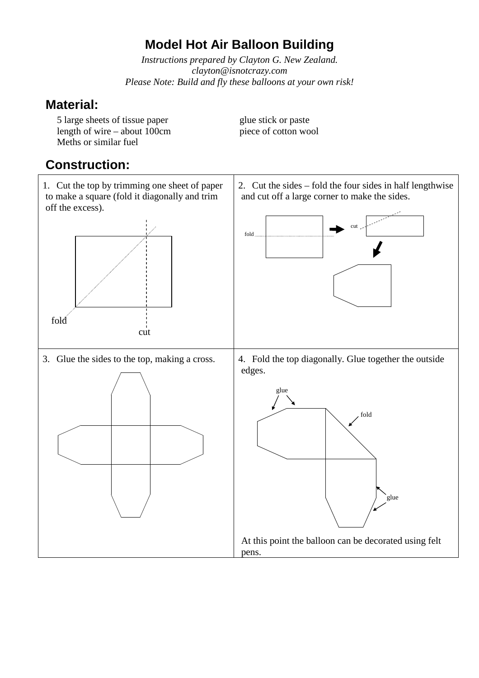## **Model Hot Air Balloon Building**

*Instructions prepared by Clayton G. New Zealand. clayton@isnotcrazy.com Please Note: Build and fly these balloons at your own risk!*

#### **Material:**

5 large sheets of tissue paper<br>length of wire – about 100cm<br>piece of cotton wool length of wire – about  $100cm$ Meths or similar fuel

### **Construction:**